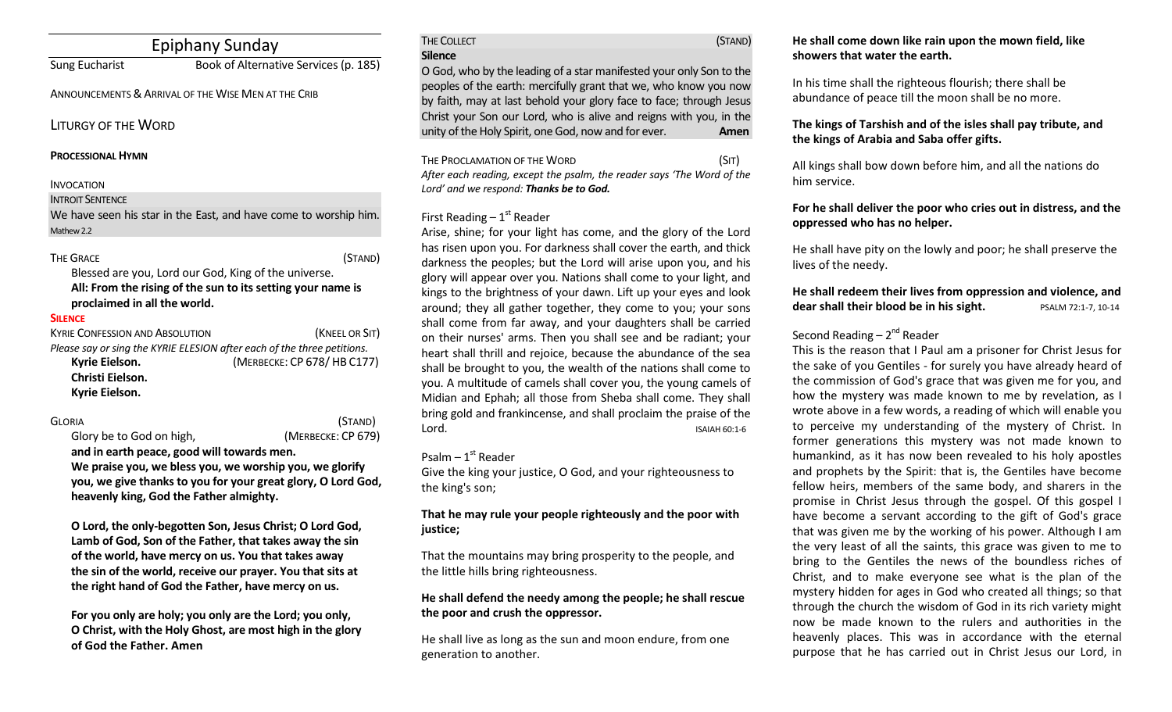# Epiphany Sunday

Sung Eucharist Book of Alternative Services (p. 185)

#### ANNOUNCEMENTS&ARRIVAL OF THE WISE MEN AT THE CRIB

# LITURGY OF THE WORD

#### **PROCESSIONAL HYMN**

#### INVOCATION

#### INTROIT SENTENCE

We have seen his star in the East, and have come to worship him. Mathew 2.2

#### THE GRACE (STAND)

Blessed are you, Lord our God, King of the universe.

**All: From the rising of the sun to its setting your name is proclaimed in all the world.**

#### **SILENCE**

| <b>KYRIE CONFESSION AND ABSOLUTION</b>                                  | (KNEEL OR SIT)             |
|-------------------------------------------------------------------------|----------------------------|
| Please say or sing the KYRIE ELESION after each of the three petitions. |                            |
| Kyrie Eielson.                                                          | (MERBECKE: CP 678/HB C177) |
| Christi Eielson.                                                        |                            |
| Kyrie Eielson.                                                          |                            |

Glory be to God on high,(MERBECKE: CP 679)

**and in earth peace, good will towards men.** 

**We praise you, we bless you, we worship you, we glorify you, we give thanks to you for your great glory, O Lord God, heavenly king, God the Father almighty.** 

**O Lord, the only-begotten Son, Jesus Christ; O Lord God, Lamb of God, Son of the Father, that takes away the sin of the world, have mercy on us. You that takes away the sin of the world, receive our prayer. You that sits at the right hand of God the Father, have mercy on us.** 

**For you only are holy; you only are the Lord; you only, O Christ, with the Holy Ghost, are most high in the glory of God the Father. Amen**

| <b>THE COLLECT</b>                                                     | (STAND) |
|------------------------------------------------------------------------|---------|
| <b>Silence</b>                                                         |         |
| O God, who by the leading of a star manifested your only Son to the    |         |
| peoples of the earth: mercifully grant that we, who know you now       |         |
| by faith, may at last behold your glory face to face; through Jesus    |         |
| Christ your Son our Lord, who is alive and reigns with you, in the     |         |
| unity of the Holy Spirit, one God, now and for ever.                   | Amen    |
|                                                                        |         |
| THE PROCLAMATION OF THE WORD                                           | (Sit)   |
| After each reading, except the psalm, the reader says 'The Word of the |         |
| Lord' and we respond: Thanks be to God.                                |         |

# First Reading  $-1<sup>st</sup>$  Reader

Arise, shine; for your light has come, and the glory of the Lord has risen upon you. For darkness shall cover the earth, and thick darkness the peoples; but the Lord will arise upon you, and his glory will appear over you. Nations shall come to your light, and kings to the brightness of your dawn. Lift up your eyes and look around; they all gather together, they come to you; your sons shall come from far away, and your daughters shall be carried on their nurses' arms. Then you shall see and be radiant; your heart shall thrill and rejoice, because the abundance of the sea shall be brought to you, the wealth of the nations shall come to you. A multitude of camels shall cover you, the young camels of Midian and Ephah; all those from Sheba shall come. They shall bring gold and frankincense, and shall proclaim the praise of the Lord. ISAIAH 60:1-6

# Psalm – 1st Reader

Give the king your justice, O God, and your righteousness to the king's son;

# **That he may rule your people righteously and the poor with justice;**

That the mountains may bring prosperity to the people, and the little hills bring righteousness.

# **He shall defend the needy among the people; he shall rescue the poor and crush the oppressor.**

He shall live as long as the sun and moon endure, from one generation to another.

## **He shall come down like rain upon the mown field, like showers that water the earth.**

In his time shall the righteous flourish; there shall be abundance of peace till the moon shall be no more.

# **The kings of Tarshish and of the isles shall pay tribute, and the kings of Arabia and Saba offer gifts.**

All kings shall bow down before him, and all the nations do him service.

# **For he shall deliver the poor who cries out in distress, and the oppressed who has no helper.**

He shall have pity on the lowly and poor; he shall preserve the lives of the needy.

# **He shall redeem their lives from oppression and violence, and dear shall their blood be in his sight.** PSALM 72:1-7, 10-14

# Second Reading – 2<sup>nd</sup> Reader

This is the reason that I Paul am a prisoner for Christ Jesus for the sake of you Gentiles - for surely you have already heard of the commission of God's grace that was given me for you, and how the mystery was made known to me by revelation, as I wrote above in a few words, a reading of which will enable you to perceive my understanding of the mystery of Christ. In former generations this mystery was not made known to humankind, as it has now been revealed to his holy apostles and prophets by the Spirit: that is, the Gentiles have become fellow heirs, members of the same body, and sharers in the promise in Christ Jesus through the gospel. Of this gospel I have become a servant according to the gift of God's grace that was given me by the working of his power. Although I am the very least of all the saints, this grace was given to me to bring to the Gentiles the news of the boundless riches of Christ, and to make everyone see what is the plan of the mystery hidden for ages in God who created all things; so that through the church the wisdom of God in its rich variety might now be made known to the rulers and authorities in the heavenly places. This was in accordance with the eternal purpose that he has carried out in Christ Jesus our Lord, in

GLORIA (STAND)